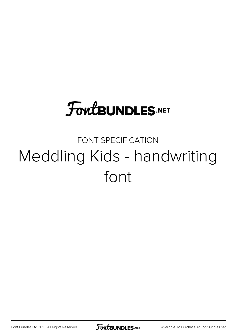# **FoutBUNDLES.NET**

### FONT SPECIFICATION Meddling Kids - handwriting font

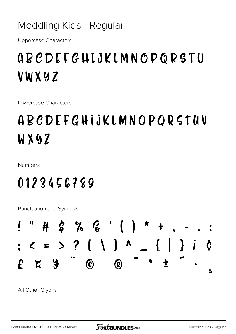Meddling Kids - Regular

**Uppercase Characters** 

# **ABCDEFGHIJKLMNOPGRSTU** VWXYZ

Lowercase Characters

# ABCDEFGHIJKLMNOPORSTUV WX9Z

**Numbers** 

#### 0123456789

Punctuation and Symbols



All Other Glyphs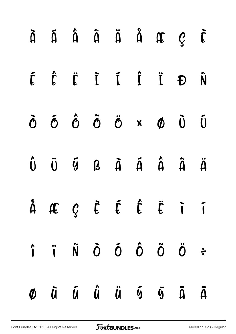|  |  |  | À Á Â Ã Ä Å Æ Ç È                                                                                                                                                                                |  |
|--|--|--|--------------------------------------------------------------------------------------------------------------------------------------------------------------------------------------------------|--|
|  |  |  | É Ê Ë Î Î Î Î Ñ                                                                                                                                                                                  |  |
|  |  |  | $\ddot{\sigma}$ $\ddot{\sigma}$ $\ddot{\sigma}$ $\ddot{\sigma}$ $\ddot{\sigma}$ $\ddot{\sigma}$ $\ddot{\sigma}$ $\ddot{\sigma}$ $\ddot{\sigma}$                                                  |  |
|  |  |  | $\hat{\mathbf{U}}\quad\ddot{\mathbf{U}}\quad\tilde{\mathbf{U}}\quad\mathbf{B}\quad\tilde{\mathbf{A}}\quad\tilde{\mathbf{A}}\quad\hat{\mathbf{A}}\quad\tilde{\mathbf{A}}\quad\tilde{\mathbf{A}}$  |  |
|  |  |  | $\hat{A}$ AE $\mathcal{C}$ $\tilde{E}$ $\hat{E}$ $\hat{E}$ $\tilde{E}$ $\tilde{I}$                                                                                                               |  |
|  |  |  | $\hat{\mathbf{i}} \quad \hat{\mathbf{i}} \quad \hat{\mathbf{N}} \quad \hat{\mathbf{O}} \quad \hat{\mathbf{O}} \quad \hat{\mathbf{O}} \quad \hat{\mathbf{O}} \quad \hat{\mathbf{C}} \quad \vdots$ |  |
|  |  |  | $\emptyset$ $\bar{u}$ $\bar{u}$ $\ddot{u}$ $\bar{u}$ $\ddot{v}$ $\ddot{u}$ $\ddot{u}$                                                                                                            |  |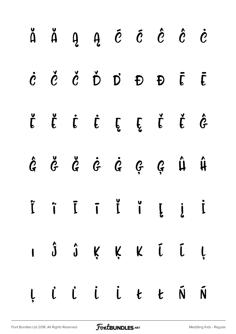|  |  | ă ă g g é é ê è e                                                                                                                                         |  |  |
|--|--|-----------------------------------------------------------------------------------------------------------------------------------------------------------|--|--|
|  |  | $\dot{c}$ $\dot{c}$ $\dot{c}$ $\dot{D}$ $D$ $D$ $\bar{c}$ $\bar{c}$                                                                                       |  |  |
|  |  | Ë Ë Ë Ë E Ë Ë Ë Ĝ                                                                                                                                         |  |  |
|  |  | $\hat{G} \quad \check{G} \quad \check{G} \quad \check{G} \quad \check{G} \quad \check{G} \quad \check{G} \quad \check{G} \quad \hat{\mu} \quad \hat{\mu}$ |  |  |
|  |  |                                                                                                                                                           |  |  |
|  |  | I Ĵ Ĵ Ķ Ķ K Ū Ū Ļ                                                                                                                                         |  |  |
|  |  | Ļ L L L L Ł K Ń                                                                                                                                           |  |  |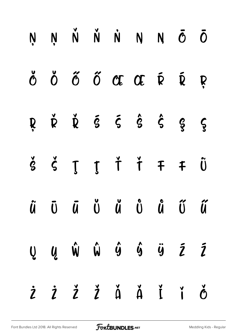|  |  | ŅŅŇŇNN VÕ                                                                                                                                                                                                                                                                                                                                                                                                                                                                                                 |  |  |
|--|--|-----------------------------------------------------------------------------------------------------------------------------------------------------------------------------------------------------------------------------------------------------------------------------------------------------------------------------------------------------------------------------------------------------------------------------------------------------------------------------------------------------------|--|--|
|  |  | Ŏ Ŏ Ő Ő Œ Œ Ŕ Ŕ Ŗ                                                                                                                                                                                                                                                                                                                                                                                                                                                                                         |  |  |
|  |  | $R \quad \check{R} \quad \check{R} \quad \check{S} \quad \check{S} \quad \check{S} \quad \hat{S} \quad \hat{S} \quad \check{S}$                                                                                                                                                                                                                                                                                                                                                                           |  |  |
|  |  | $\check{\mathbf{S}}\quad \check{\mathbf{S}}\quad \mathbf{J}\quad \check{\mathbf{J}}\quad \check{\mathbf{I}}\quad \check{\mathbf{I}}\quad \mathbf{F}\quad \mathbf{F}\quad \check{\mathbf{U}}\quad \  \, \check{\mathbf{U}}\quad \  \, \check{\mathbf{U}}\quad \  \, \check{\mathbf{U}}\quad \  \, \check{\mathbf{U}}\quad \  \, \check{\mathbf{U}}\quad \  \, \check{\mathbf{U}}\quad \  \, \check{\mathbf{U}}\quad \  \, \check{\mathbf{U}}\quad \  \, \check{\mathbf{U}}\quad \  \, \check{\mathbf{U}}\$ |  |  |
|  |  | ũ Ū Ū Ŭ Ŭ Ů Ů Ű Ű                                                                                                                                                                                                                                                                                                                                                                                                                                                                                         |  |  |
|  |  | $Q$ $Q$ $\hat{W}$ $\hat{W}$ $\hat{G}$ $\hat{G}$ $\hat{G}$ $\hat{G}$ $\hat{Z}$ $\hat{Z}$                                                                                                                                                                                                                                                                                                                                                                                                                   |  |  |
|  |  | ŻŻŽŽĂĂĬŤŎ                                                                                                                                                                                                                                                                                                                                                                                                                                                                                                 |  |  |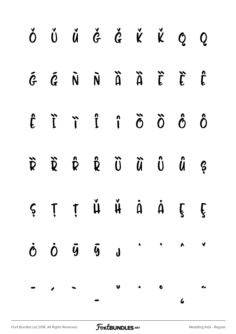|  | Ŏ Ŭ Ŭ Ğ Ğ K K Q Q                                                                                                                                                                                                                                                                |  |  |  |
|--|----------------------------------------------------------------------------------------------------------------------------------------------------------------------------------------------------------------------------------------------------------------------------------|--|--|--|
|  | $\tilde{G}$ $\tilde{G}$ $\tilde{N}$ $\tilde{N}$ $\tilde{A}$ $\tilde{L}$ $\tilde{L}$ $\tilde{L}$                                                                                                                                                                                  |  |  |  |
|  | $\ddot{\mathbf{C}}\quad\ddot{\mathbf{C}}\quad\ddot{\mathbf{C}}\quad\ddot{\mathbf{C}}\quad\ddot{\mathbf{C}}\quad\ddot{\mathbf{C}}\quad\ddot{\mathbf{C}}\quad\ddot{\mathbf{C}}\quad\ddot{\mathbf{C}}\quad\ddot{\mathbf{C}}$                                                        |  |  |  |
|  | $\ddot{\mathbf{R}}\quad \ddot{\mathbf{R}}\quad \ddot{\mathbf{R}}\quad \ddot{\mathbf{R}}\quad \ddot{\mathbf{U}}\quad \ddot{\mathbf{U}}\quad \ddot{\mathbf{U}}\quad \ddot{\mathbf{U}}\quad \mathbf{Q}$                                                                             |  |  |  |
|  | $\begin{array}{ccccccccccccccccc} \varsigma & \tau & \tau & \check{\mu} & \check{\mu} & \check{\mu} & \dot{\alpha} & \dot{\alpha} & \xi & \xi \end{array}$                                                                                                                       |  |  |  |
|  | $\dot{0}$ $\dot{0}$ $\ddot{y}$ $\ddot{0}$ $\ddot{0}$ $\ddot{0}$ $\ddot{0}$ $\ddot{0}$ $\ddot{0}$ $\ddot{0}$ $\ddot{0}$ $\ddot{0}$ $\ddot{0}$ $\ddot{0}$ $\ddot{0}$ $\ddot{0}$ $\ddot{0}$ $\ddot{0}$ $\ddot{0}$ $\ddot{0}$ $\ddot{0}$ $\ddot{0}$ $\ddot{0}$ $\ddot{0}$ $\ddot{0}$ |  |  |  |
|  |                                                                                                                                                                                                                                                                                  |  |  |  |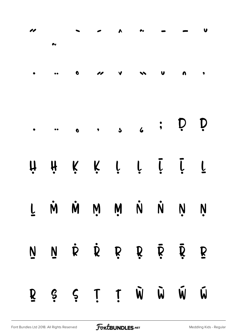|              |  |           | $\begin{array}{ccccccccccccccccccccccccc} \cdot & & \cdot & & & \cdot & & & \cdot & & \cdots & & \cdot & & \cdots & & \cdot & & \cdots & & \cdot & & \cdots & & \cdot & & \cdots & & \cdot & & \cdots & & & \cdot & & \cdots & & & \cdots & & & \cdots & & & \cdots & & & \cdots & & & \cdots & & & & \cdots & & & \cdots & & & \cdots & & & & \cdots & & & \cdots & & & \cdots & & & & \cdots & & & & \cdots & & & & \cdots & & & & \cdots & & & & \cdots & & & & \cdots & & & & \cdots & & & & \cdots & & & & \cdots$ |       |             |
|--------------|--|-----------|-------------------------------------------------------------------------------------------------------------------------------------------------------------------------------------------------------------------------------------------------------------------------------------------------------------------------------------------------------------------------------------------------------------------------------------------------------------------------------------------------------------------------|-------|-------------|
|              |  |           |                                                                                                                                                                                                                                                                                                                                                                                                                                                                                                                         |       |             |
|              |  |           | H H K K I T I T T                                                                                                                                                                                                                                                                                                                                                                                                                                                                                                       |       |             |
|              |  |           | T Ņ Ņ Ņ Ņ Ņ Ņ V Ň                                                                                                                                                                                                                                                                                                                                                                                                                                                                                                       |       |             |
|              |  |           | N N R R R R R R R                                                                                                                                                                                                                                                                                                                                                                                                                                                                                                       |       |             |
| $\mathbf{R}$ |  | $S \S$ ii |                                                                                                                                                                                                                                                                                                                                                                                                                                                                                                                         | W W W | $\tilde{W}$ |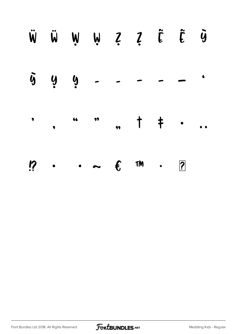|  |  | WÜWWZZČŨ                                    |  |  |
|--|--|---------------------------------------------|--|--|
|  |  | $\bar{y}$ g g $   -$                        |  |  |
|  |  |                                             |  |  |
|  |  | $\ddot{R}$ $\epsilon$ $\ddot{m}$ . <u>?</u> |  |  |

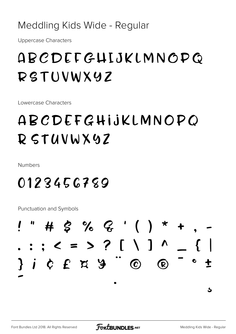#### Meddling Kids Wide - Regular

**Uppercase Characters** 

# ABCDEFGHIJKLMNOPO RSTUVWXYZ

Lowercase Characters

# ABCDEFGHIJKLMNOPO RSTUVWX9Z

**Numbers** 

0123456789

**Punctuation and Symbols** 



ځ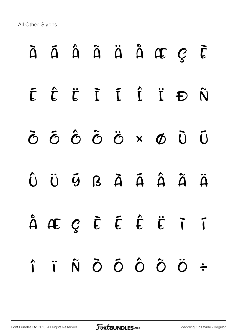All Other Glyphs

# À Á Â Ã Ä Å Æ Ç È É Ê Ë Ì Í Î Ï Ð Ñ Ò Ó Ô Õ Ö × Ø Ù Ú  $\hat{U}$   $\ddot{U}$   $\ddot{G}$   $B$   $\ddot{A}$   $\ddot{A}$   $\ddot{A}$   $\ddot{A}$   $\ddot{A}$ å æ ç è é ê ë ì í î ï ñ ò ó ô õ ö ÷

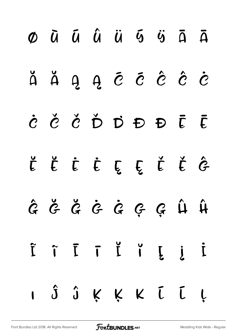|  | $\emptyset$ $\bar{u}$ $\bar{u}$ $\ddot{u}$ $\bar{u}$ $\bar{u}$ $\ddot{u}$ $\ddot{u}$ $\ddot{u}$ $\ddot{u}$ |  |  |  |
|--|------------------------------------------------------------------------------------------------------------|--|--|--|
|  | ă ă ą ą ē ē ê ê è                                                                                          |  |  |  |
|  | C Č Č Ď Ď Đ Đ Ē Ē                                                                                          |  |  |  |
|  | Ë Ë Ë Ë E E Ě Ě Ĝ                                                                                          |  |  |  |
|  | $\hat{G}$ $\check{G}$ $\check{G}$ $\hat{G}$ $\hat{G}$ $\hat{G}$ $\hat{G}$ $\hat{G}$ $\hat{H}$              |  |  |  |
|  | i i i i i i i                                                                                              |  |  |  |
|  | I Ĵ Ĵ Ķ Ķ K Ū Ū Ļ                                                                                          |  |  |  |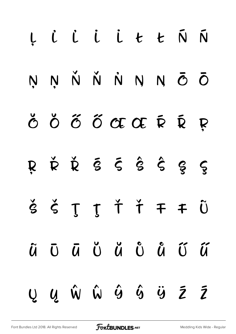|  |  | Ļ L L L L Ł Ł Ń Ń                                                                                                                                                            |  |  |
|--|--|------------------------------------------------------------------------------------------------------------------------------------------------------------------------------|--|--|
|  |  | ŅŅŇŇNN Ō                                                                                                                                                                     |  |  |
|  |  | Ŏ Ŏ Ő Ő Œ Œ Ŕ Ŕ Ŗ                                                                                                                                                            |  |  |
|  |  | R Ř Ř Š Š Ŝ Ŝ Ŝ S                                                                                                                                                            |  |  |
|  |  | $\check{\mathcal{S}}\check{\mathcal{S}}\check{\mathcal{I}}\check{\mathcal{I}}\check{\mathcal{T}}\check{\mathcal{I}}\check{\mathcal{F}}\check{\mathcal{F}}\check{\mathbf{U}}$ |  |  |
|  |  | ũ Ō Ū Ŭ Ŭ Ů Ů Ű Ű                                                                                                                                                            |  |  |
|  |  | Ų Ų Ŵ Ŵ Ŷ Ŷ Ÿ Ž Ž                                                                                                                                                            |  |  |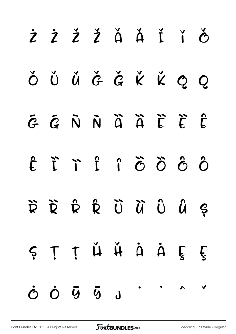| ŻŻŽŽĂĂĬŤŐ                                                                                                                                                                                                                                                                                                                                                                                                                                                                                                                                                                                                   |  |  |  |  |
|-------------------------------------------------------------------------------------------------------------------------------------------------------------------------------------------------------------------------------------------------------------------------------------------------------------------------------------------------------------------------------------------------------------------------------------------------------------------------------------------------------------------------------------------------------------------------------------------------------------|--|--|--|--|
| ŎŬŬĞĞKKQQ                                                                                                                                                                                                                                                                                                                                                                                                                                                                                                                                                                                                   |  |  |  |  |
| E E N N À À L L E                                                                                                                                                                                                                                                                                                                                                                                                                                                                                                                                                                                           |  |  |  |  |
| ÔÔÔÔÎ Î Î Î                                                                                                                                                                                                                                                                                                                                                                                                                                                                                                                                                                                                 |  |  |  |  |
| $\begin{array}{ccccccccccccc} \widetilde{\kappa} & \widetilde{\kappa} & \widehat{\kappa} & \widehat{\kappa} & \widehat{\upsilon} & \widehat{\upsilon} & \widehat{\omega} & \widehat{\omega} & \widehat{\omega} & \widehat{\omega} & \widehat{\omega} & \widehat{\omega} & \widehat{\omega} & \widehat{\omega} & \widehat{\omega} & \widehat{\omega} & \widehat{\omega} & \widehat{\omega} & \widehat{\omega} & \widehat{\omega} & \widehat{\omega} & \widehat{\omega} & \widehat{\omega} & \widehat{\omega} & \widehat{\omega} & \widehat{\omega} & \widehat{\omega} & \widehat{\omega} & \widehat{\omega}$ |  |  |  |  |
| ȘȚȚ H H A A E E                                                                                                                                                                                                                                                                                                                                                                                                                                                                                                                                                                                             |  |  |  |  |
| $\dot{c}$ $\dot{c}$ $\ddot{g}$ $\ddot{g}$ $\ddot{g}$ $\ddot{g}$ $\ddot{g}$                                                                                                                                                                                                                                                                                                                                                                                                                                                                                                                                  |  |  |  |  |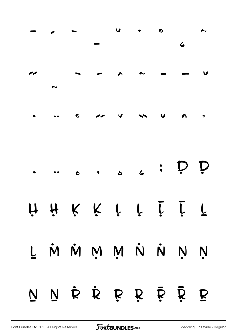|  |  | H H K K L L L L L |  |  |
|--|--|-------------------|--|--|
|  |  | L M M M M N N N N |  |  |
|  |  | N N R R R R R R R |  |  |